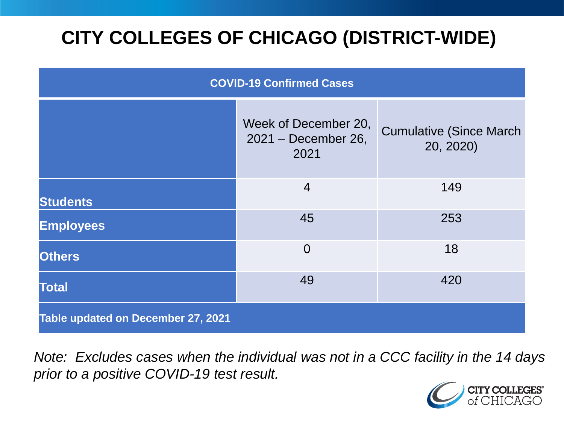# **CITY COLLEGES OF CHICAGO (DISTRICT-WIDE)**

| <b>COVID-19 Confirmed Cases</b>    |                                                     |                                              |
|------------------------------------|-----------------------------------------------------|----------------------------------------------|
|                                    | Week of December 20,<br>2021 - December 26,<br>2021 | <b>Cumulative (Since March)</b><br>20, 2020) |
| <b>Students</b>                    | $\overline{4}$                                      | 149                                          |
| <b>Employees</b>                   | 45                                                  | 253                                          |
| <b>Others</b>                      | $\overline{0}$                                      | 18                                           |
| <b>Total</b>                       | 49                                                  | 420                                          |
| Table updated on December 27, 2021 |                                                     |                                              |

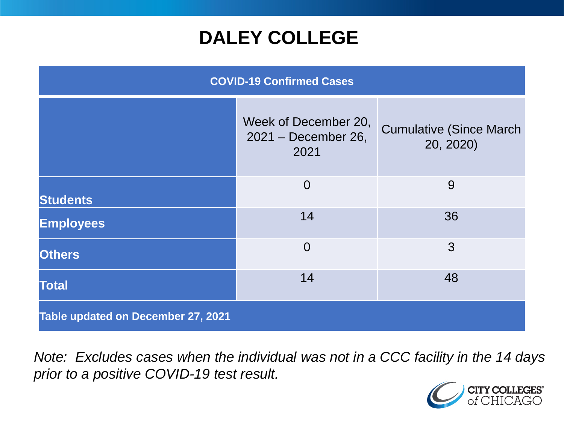## **DALEY COLLEGE**

| <b>COVID-19 Confirmed Cases</b>    |                                                     |                                              |
|------------------------------------|-----------------------------------------------------|----------------------------------------------|
|                                    | Week of December 20,<br>2021 - December 26,<br>2021 | <b>Cumulative (Since March)</b><br>20, 2020) |
| <b>Students</b>                    | $\overline{0}$                                      | 9                                            |
| <b>Employees</b>                   | 14                                                  | 36                                           |
| <b>Others</b>                      | $\overline{0}$                                      | 3                                            |
| <b>Total</b>                       | 14                                                  | 48                                           |
| Table updated on December 27, 2021 |                                                     |                                              |

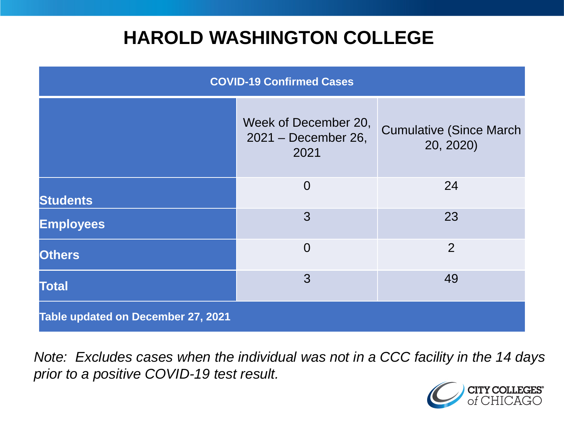## **HAROLD WASHINGTON COLLEGE**

| <b>COVID-19 Confirmed Cases</b>    |                                                     |                                              |
|------------------------------------|-----------------------------------------------------|----------------------------------------------|
|                                    | Week of December 20,<br>2021 - December 26,<br>2021 | <b>Cumulative (Since March)</b><br>20, 2020) |
| <b>Students</b>                    | $\overline{0}$                                      | 24                                           |
| <b>Employees</b>                   | 3                                                   | 23                                           |
| <b>Others</b>                      | $\overline{0}$                                      | $\overline{2}$                               |
| <b>Total</b>                       | 3                                                   | 49                                           |
| Table updated on December 27, 2021 |                                                     |                                              |

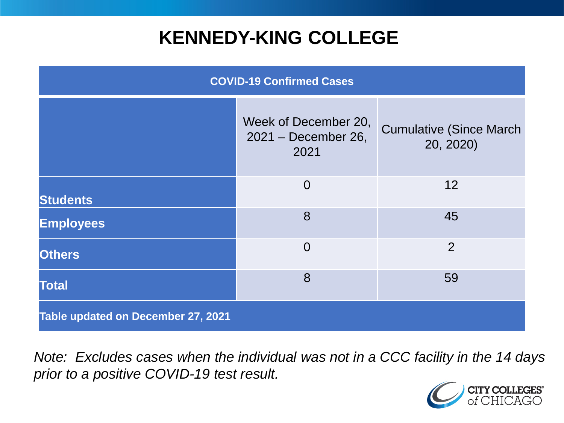## **KENNEDY-KING COLLEGE**

| <b>COVID-19 Confirmed Cases</b>    |                                                     |                                              |
|------------------------------------|-----------------------------------------------------|----------------------------------------------|
|                                    | Week of December 20,<br>2021 - December 26,<br>2021 | <b>Cumulative (Since March)</b><br>20, 2020) |
| <b>Students</b>                    | $\overline{0}$                                      | 12                                           |
| <b>Employees</b>                   | 8                                                   | 45                                           |
| <b>Others</b>                      | $\overline{0}$                                      | $\overline{2}$                               |
| <b>Total</b>                       | 8                                                   | 59                                           |
| Table updated on December 27, 2021 |                                                     |                                              |

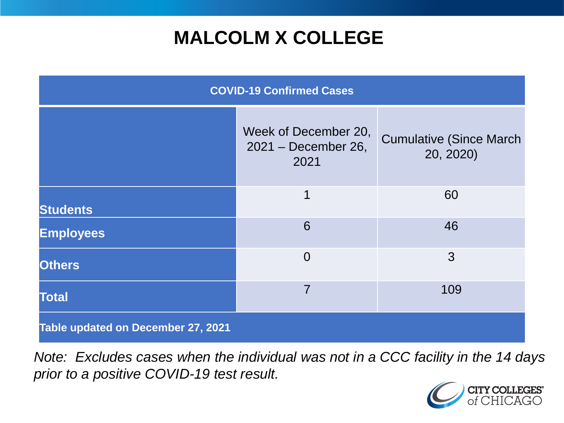# **MALCOLM X COLLEGE**

| <b>COVID-19 Confirmed Cases</b>    |                                                     |                                              |
|------------------------------------|-----------------------------------------------------|----------------------------------------------|
|                                    | Week of December 20,<br>2021 - December 26,<br>2021 | <b>Cumulative (Since March)</b><br>20, 2020) |
| <b>Students</b>                    | 1                                                   | 60                                           |
| <b>Employees</b>                   | 6                                                   | 46                                           |
| <b>Others</b>                      | $\Omega$                                            | 3                                            |
| <b>Total</b>                       | $\overline{7}$                                      | 109                                          |
| Table updated on December 27, 2021 |                                                     |                                              |

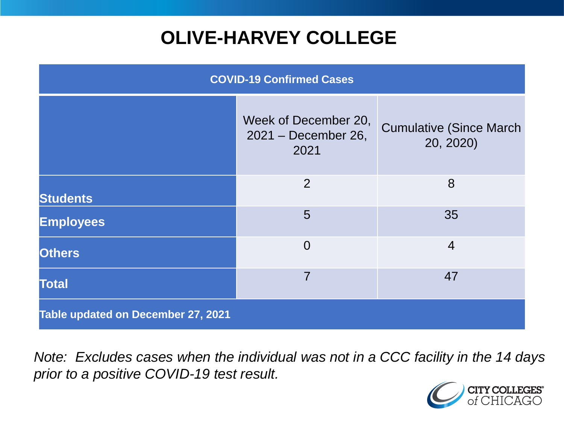# **OLIVE-HARVEY COLLEGE**

| <b>COVID-19 Confirmed Cases</b>    |                                                     |                                              |
|------------------------------------|-----------------------------------------------------|----------------------------------------------|
|                                    | Week of December 20,<br>2021 - December 26,<br>2021 | <b>Cumulative (Since March)</b><br>20, 2020) |
| <b>Students</b>                    | 2                                                   | 8                                            |
| <b>Employees</b>                   | 5                                                   | 35                                           |
| <b>Others</b>                      | $\overline{0}$                                      | $\overline{4}$                               |
| <b>Total</b>                       | $\overline{7}$                                      | 47                                           |
| Table updated on December 27, 2021 |                                                     |                                              |

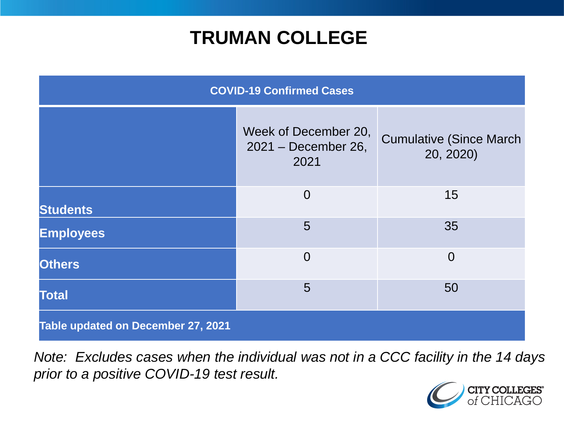## **TRUMAN COLLEGE**

| <b>COVID-19 Confirmed Cases</b>    |                                                     |                                              |
|------------------------------------|-----------------------------------------------------|----------------------------------------------|
|                                    | Week of December 20,<br>2021 - December 26,<br>2021 | <b>Cumulative (Since March)</b><br>20, 2020) |
| <b>Students</b>                    | $\overline{0}$                                      | 15                                           |
| <b>Employees</b>                   | 5                                                   | 35                                           |
| <b>Others</b>                      | $\overline{0}$                                      | $\overline{0}$                               |
| <b>Total</b>                       | 5                                                   | 50                                           |
| Table updated on December 27, 2021 |                                                     |                                              |

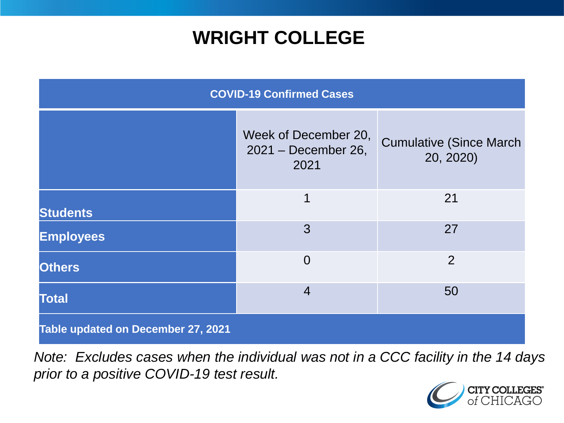## **WRIGHT COLLEGE**

| <b>COVID-19 Confirmed Cases</b>    |                                                     |                                              |
|------------------------------------|-----------------------------------------------------|----------------------------------------------|
|                                    | Week of December 20,<br>2021 - December 26,<br>2021 | <b>Cumulative (Since March)</b><br>20, 2020) |
| <b>Students</b>                    | 1                                                   | 21                                           |
| <b>Employees</b>                   | 3                                                   | 27                                           |
| <b>Others</b>                      | $\overline{0}$                                      | $\overline{2}$                               |
| <b>Total</b>                       | $\overline{4}$                                      | 50                                           |
| Table updated on December 27, 2021 |                                                     |                                              |